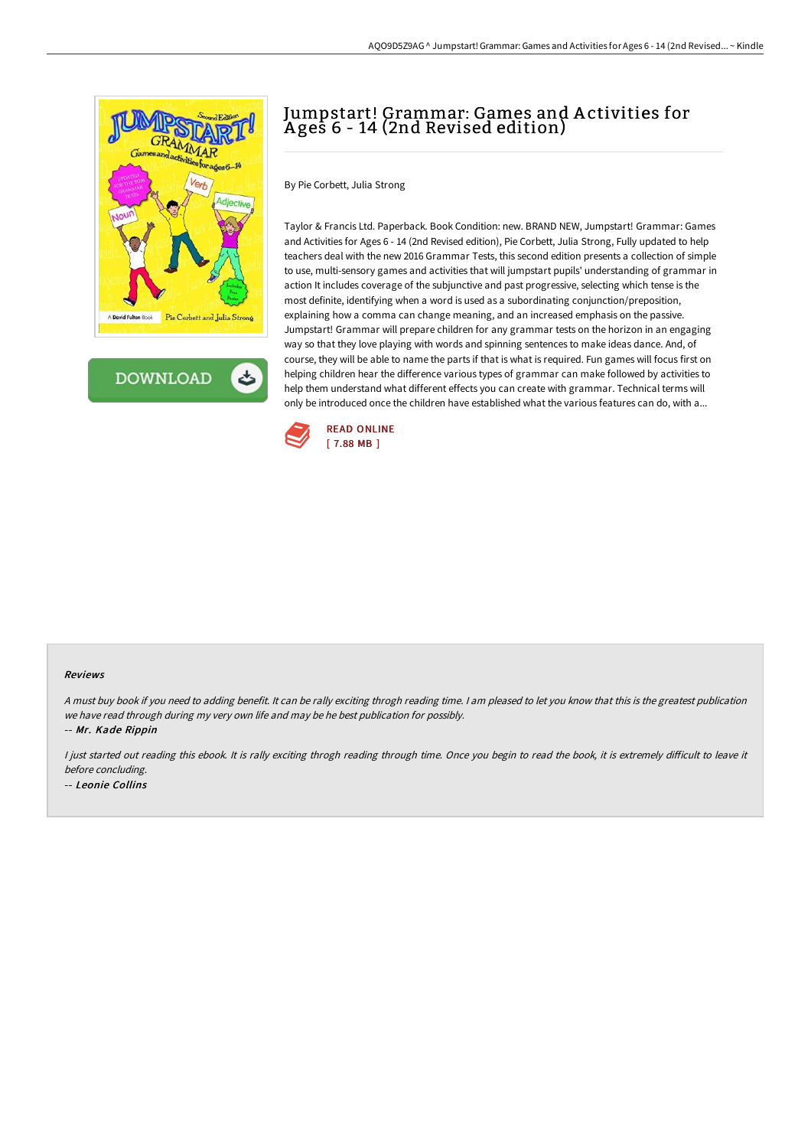

**DOWNLOAD** ٹ

## Jumpstart! Grammar: Games and A ctivities for A ges 6 - 14 (2nd Revised edition)

By Pie Corbett, Julia Strong

Taylor & Francis Ltd. Paperback. Book Condition: new. BRAND NEW, Jumpstart! Grammar: Games and Activities for Ages 6 - 14 (2nd Revised edition), Pie Corbett, Julia Strong, Fully updated to help teachers deal with the new 2016 Grammar Tests, this second edition presents a collection of simple to use, multi-sensory games and activities that will jumpstart pupils' understanding of grammar in action It includes coverage of the subjunctive and past progressive, selecting which tense is the most definite, identifying when a word is used as a subordinating conjunction/preposition, explaining how a comma can change meaning, and an increased emphasis on the passive. Jumpstart! Grammar will prepare children for any grammar tests on the horizon in an engaging way so that they love playing with words and spinning sentences to make ideas dance. And, of course, they will be able to name the parts if that is what is required. Fun games will focus first on helping children hear the difference various types of grammar can make followed by activities to help them understand what different effects you can create with grammar. Technical terms will only be introduced once the children have established what the various features can do, with a...



#### Reviews

<sup>A</sup> must buy book if you need to adding benefit. It can be rally exciting throgh reading time. <sup>I</sup> am pleased to let you know that this is the greatest publication we have read through during my very own life and may be he best publication for possibly.

-- Mr. Kade Rippin

I just started out reading this ebook. It is rally exciting throgh reading through time. Once you begin to read the book, it is extremely difficult to leave it before concluding. -- Leonie Collins